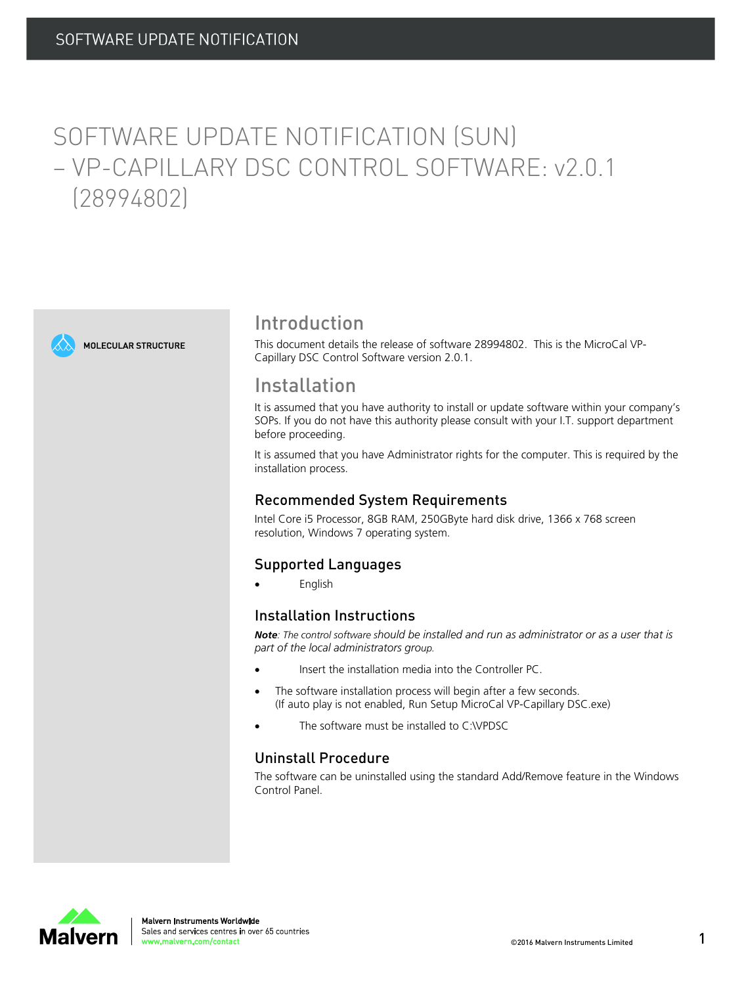# SOFTWARE UPDATE NOTIFICATION (SUN) – VP-CAPILLARY DSC CONTROL SOFTWARE: v2.0.1 (28994802)





# Introduction

This document details the release of software 28994802. This is the MicroCal VP-Capillary DSC Control Software version 2.0.1.

## Installation

It is assumed that you have authority to install or update software within your company's SOPs. If you do not have this authority please consult with your I.T. support department before proceeding.

It is assumed that you have Administrator rights for the computer. This is required by the installation process.

### Recommended System Requirements

Intel Core i5 Processor, 8GB RAM, 250GByte hard disk drive, 1366 x 768 screen resolution, Windows 7 operating system.

### Supported Languages

English

### Installation Instructions

Note: The control software should be installed and run as administrator or as a user that is *part of the local administrators group.*

- Insert the installation media into the Controller PC.
- The software installation process will begin after a few seconds. (If auto play is not enabled, Run Setup MicroCal VP-Capillary DSC.exe)
- The software must be installed to C:\VPDSC

### Uninstall Procedure

The software can be uninstalled using the standard Add/Remove feature in the Windows Control Panel.

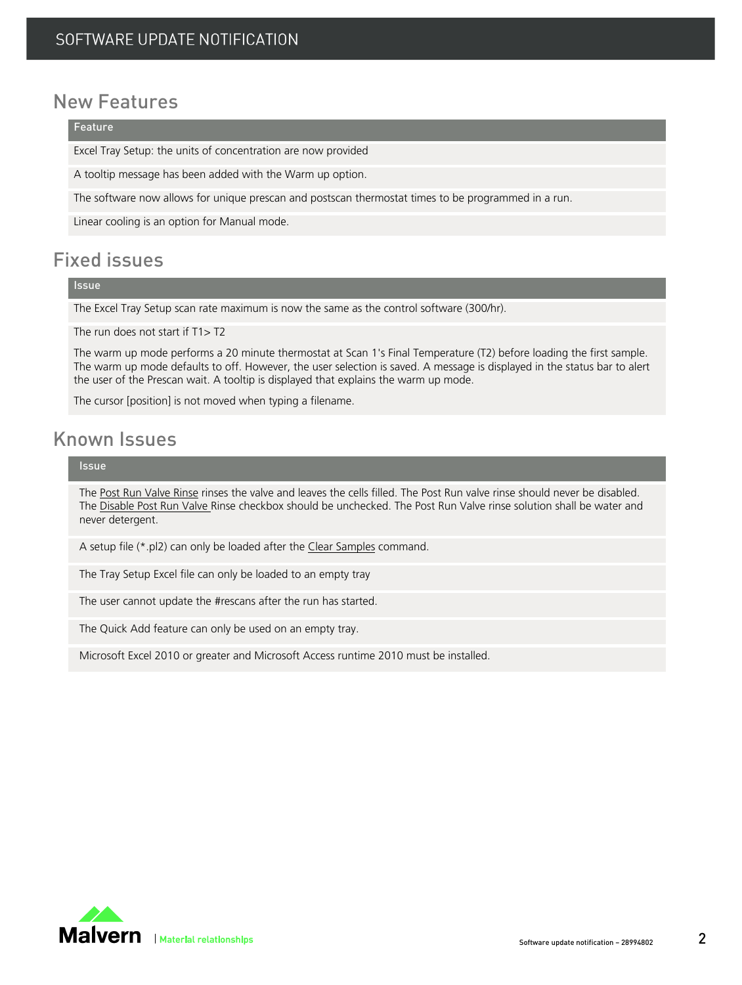# New Features

#### Feature

Excel Tray Setup: the units of concentration are now provided

A tooltip message has been added with the Warm up option.

The software now allows for unique prescan and postscan thermostat times to be programmed in a run.

Linear cooling is an option for Manual mode.

# Fixed issues

#### **Issue**

The Excel Tray Setup scan rate maximum is now the same as the control software (300/hr).

The run does not start if T1> T2

The warm up mode performs a 20 minute thermostat at Scan 1's Final Temperature (T2) before loading the first sample. The warm up mode defaults to off. However, the user selection is saved. A message is displayed in the status bar to alert the user of the Prescan wait. A tooltip is displayed that explains the warm up mode.

The cursor [position] is not moved when typing a filename.

# Known Issues

#### Issue

The Post Run Valve Rinse rinses the valve and leaves the cells filled. The Post Run valve rinse should never be disabled. The Disable Post Run Valve Rinse checkbox should be unchecked. The Post Run Valve rinse solution shall be water and never detergent.

A setup file (\*.pl2) can only be loaded after the Clear Samples command.

The Tray Setup Excel file can only be loaded to an empty tray

The user cannot update the #rescans after the run has started.

The Quick Add feature can only be used on an empty tray.

Microsoft Excel 2010 or greater and Microsoft Access runtime 2010 must be installed.